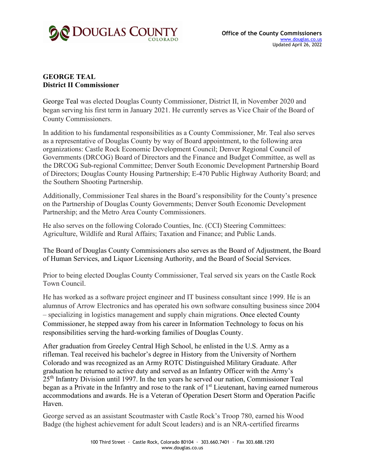

## **GEORGE TEAL District II Commissioner**

George Teal was elected Douglas County Commissioner, District II, in November 2020 and began serving his first term in January 2021. He currently serves as Vice Chair of the Board of County Commissioners.

In addition to his fundamental responsibilities as a County Commissioner, Mr. Teal also serves as a representative of Douglas County by way of Board appointment, to the following area organizations: Castle Rock Economic Development Council; Denver Regional Council of Governments (DRCOG) Board of Directors and the Finance and Budget Committee, as well as the DRCOG Sub-regional Committee; Denver South Economic Development Partnership Board of Directors; Douglas County Housing Partnership; E-470 Public Highway Authority Board; and the Southern Shooting Partnership.

Additionally, Commissioner Teal shares in the Board's responsibility for the County's presence on the Partnership of Douglas County Governments; Denver South Economic Development Partnership; and the Metro Area County Commissioners.

He also serves on the following Colorado Counties, Inc. (CCI) Steering Committees: Agriculture, Wildlife and Rural Affairs; Taxation and Finance; and Public Lands.

The Board of Douglas County Commissioners also serves as the Board of Adjustment, the Board of Human Services, and Liquor Licensing Authority, and the Board of Social Services.

Prior to being elected Douglas County Commissioner, Teal served six years on the Castle Rock Town Council.

He has worked as a software project engineer and IT business consultant since 1999. He is an alumnus of Arrow Electronics and has operated his own software consulting business since 2004 – specializing in logistics management and supply chain migrations. Once elected County Commissioner, he stepped away from his career in Information Technology to focus on his responsibilities serving the hard-working families of Douglas County.

After graduation from Greeley Central High School, he enlisted in the U.S. Army as a rifleman. Teal received his bachelor's degree in History from the University of Northern Colorado and was recognized as an Army ROTC Distinguished Military Graduate. After graduation he returned to active duty and served as an Infantry Officer with the Army's 25th Infantry Division until 1997. In the ten years he served our nation, Commissioner Teal began as a Private in the Infantry and rose to the rank of  $1<sup>st</sup>$  Lieutenant, having earned numerous accommodations and awards. He is a Veteran of Operation Desert Storm and Operation Pacific Haven.

George served as an assistant Scoutmaster with Castle Rock's Troop 780, earned his Wood Badge (the highest achievement for adult Scout leaders) and is an NRA-certified firearms